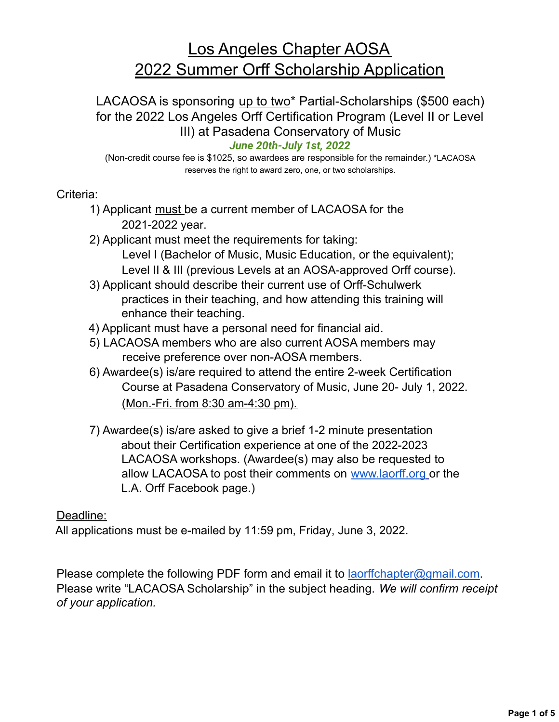# Los Angeles Chapter AOSA 2022 Summer Orff Scholarship Application

### LACAOSA is sponsoring up to two\* Partial-Scholarships (\$500 each) for the 2022 Los Angeles Orff Certification Program (Level II or Level III) at Pasadena Conservatory of Music

#### *June 20th-July 1st, 2022*

(Non-credit course fee is \$1025, so awardees are responsible for the remainder.) \*LACAOSA reserves the right to award zero, one, or two scholarships.

#### Criteria:

- 1) Applicant must be a current member of LACAOSA for the 2021-2022 year. 2021-2022 year.
- 2) Applicant must meet the requirements for taking:
	- Level I (Bachelor of Music, Music Education, or the equivalent);
	- Level II & III (previous Levels at an AOSA-approved Orff course).
- 3) Applicant should describe their current use of Orff-Schulwerk practices in their teaching, and how attending this training will enhance their teaching.
- 4) Applicant must have a personal need for financial aid.
- 5) LACAOSA members who are also current AOSA members may receive preference over non-AOSA members.
- 6) Awardee(s) is/are required to attend the entire 2-week Certification Course at Pasadena Conservatory of Music, June 20- July 1, 2022. (Mon.-Fri. from 8:30 am-4:30 pm).
- 7) Awardee(s) is/are asked to give a brief 1-2 minute presentation about their Certification experience at one of the 2021-2022 about their Certification experience at one of the 2022-2023 LACAOSA workshops. (Awardee(s) may also be requested to allow LACAOSA to post their comments on www.laorff.org or the L.A. Orff Facebook page.)

#### Deadline:

All applications must be e-mailed by 11:59 pm, Friday, June 3, 2022.

Please complete the following PDF form and email it to laorffchapter@gmail.com. Please write "LACAOSA Scholarship" in the subject heading. *We will confirm receipt of your application.*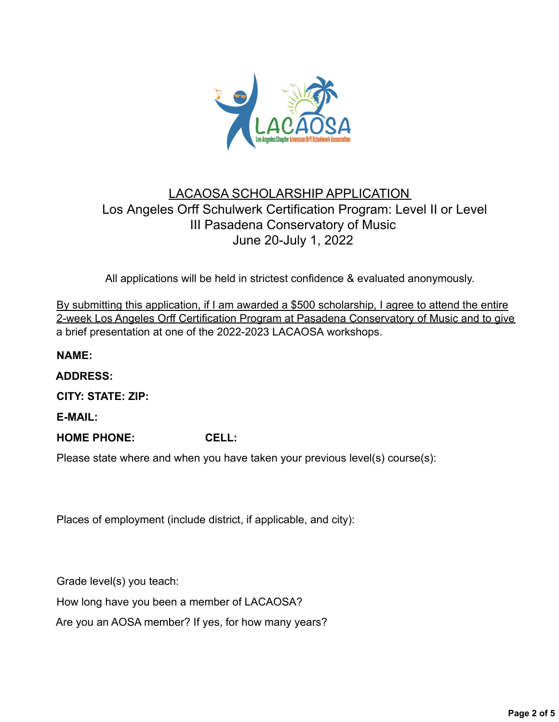

### LACAOSA SCHOLARSHIP APPLICATION Los Angeles Orff Schulwerk Certification Program: Level II or Level II Pasadena Conservatory of Music III Pasadena Conservatory of Music June 20-July 1, 2022

All applications will be held in strictest confidence & evaluated anonymously.

By submitting this application, if I am awarded a \$500 scholarship, I agree to attend the entire 2-week Los Angeles Orff Certification Program at Pasadena Conservatory of Music and to give a brief presentation at one of the 2021-2022 LACAOSA workshops. a brief presentation at one of the 2022-2023 LACAOSA workshops.

**NAME:**

**ADDRESS:**

**CITY: STATE: ZIP:**

**E-MAIL:**

**HOME PHONE: CELL:**

Please state where and when you have taken your previous level(s) course(s):

Places of employment (include district, if applicable, and city):

Grade level(s) you teach:

How long have you been a member of LACAOSA?

Are you an AOSA member? If yes, for how many years?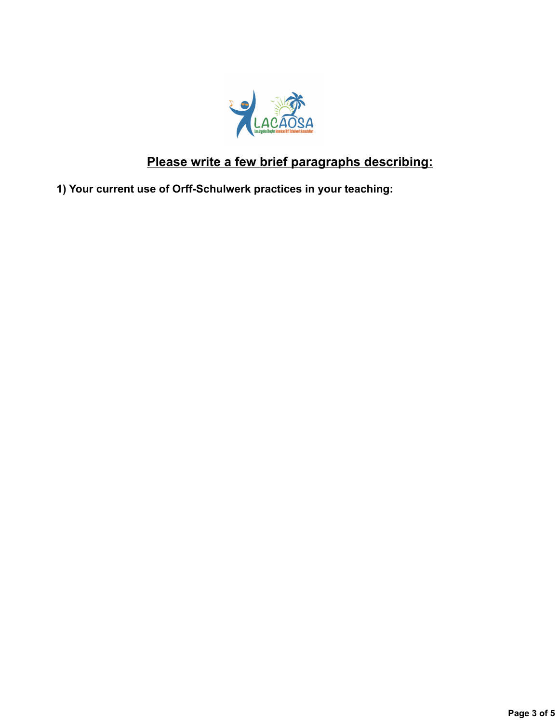

## **Please write a few brief paragraphs describing:**

**1) Your current use of Orff-Schulwerk practices in your teaching:**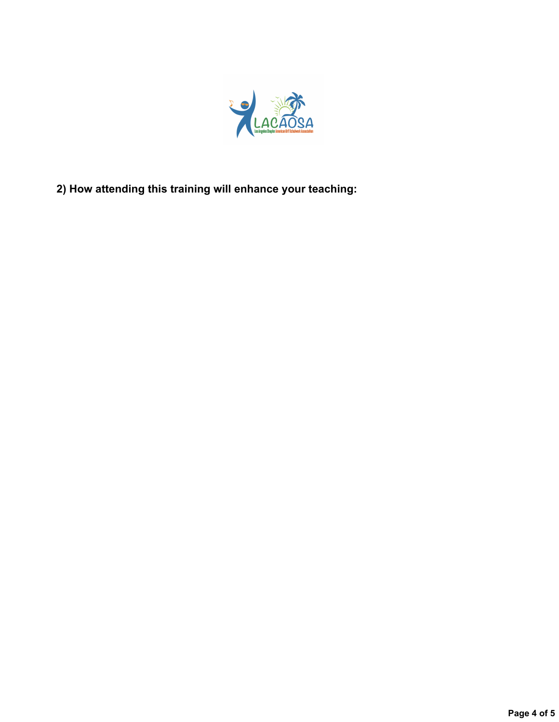

**2) How attending this training will enhance your teaching:**